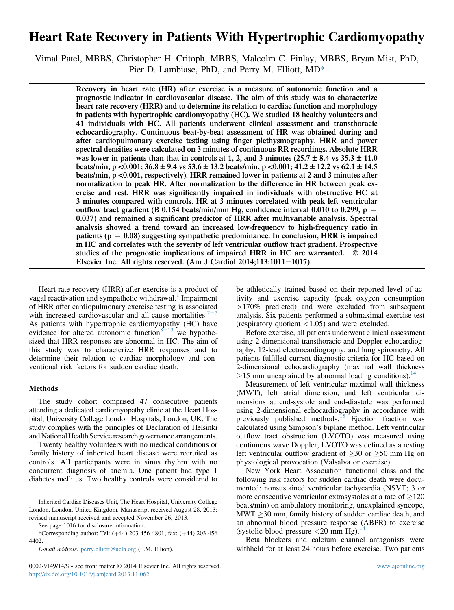# Heart Rate Recovery in Patients With Hypertrophic Cardiomyopathy

Vimal Patel, MBBS, Christopher H. Critoph, MBBS, Malcolm C. Finlay, MBBS, Bryan Mist, PhD, Pier D. Lambiase, PhD, and Perry M. Elliott, MD\*

> Recovery in heart rate (HR) after exercise is a measure of autonomic function and a prognostic indicator in cardiovascular disease. The aim of this study was to characterize heart rate recovery (HRR) and to determine its relation to cardiac function and morphology in patients with hypertrophic cardiomyopathy (HC). We studied 18 healthy volunteers and 41 individuals with HC. All patients underwent clinical assessment and transthoracic echocardiography. Continuous beat-by-beat assessment of HR was obtained during and after cardiopulmonary exercise testing using finger plethysmography. HRR and power spectral densities were calculated on 3 minutes of continuous RR recordings. Absolute HRR was lower in patients than that in controls at 1, 2, and 3 minutes ( $25.7 \pm 8.4$  vs  $35.3 \pm 11.0$ beats/min, p <0.001;  $36.8 \pm 9.4$  vs  $53.6 \pm 13.2$  beats/min, p <0.001;  $41.2 \pm 12.2$  vs  $62.1 \pm 14.5$ beats/min, p <0.001, respectively). HRR remained lower in patients at 2 and 3 minutes after normalization to peak HR. After normalization to the difference in HR between peak exercise and rest, HRR was significantly impaired in individuals with obstructive HC at 3 minutes compared with controls. HR at 3 minutes correlated with peak left ventricular outflow tract gradient (B 0.154 beats/min/mm Hg, confidence interval 0.010 to 0.299,  $p =$ 0.037) and remained a significant predictor of HRR after multivariable analysis. Spectral analysis showed a trend toward an increased low-frequency to high-frequency ratio in patients ( $p = 0.08$ ) suggesting sympathetic predominance. In conclusion, HRR is impaired in HC and correlates with the severity of left ventricular outflow tract gradient. Prospective studies of the prognostic implications of impaired HRR in HC are warranted.  $\oslash$  2014 Elsevier Inc. All rights reserved. (Am J Cardiol  $2014;113:1011-1017$ )

Heart rate recovery (HRR) after exercise is a product of vagal reactivation and sympathetic withdrawal.<sup>[1](#page-5-0)</sup> Impairment of HRR after cardiopulmonary exercise testing is associated with increased cardiovascular and all-cause mortalities. $2^{-7}$  $2^{-7}$  $2^{-7}$  $2^{-7}$ As patients with hypertrophic cardiomyopathy (HC) have evidence for altered autonomic function  $8-13$  $8-13$  $8-13$  we hypothesized that HRR responses are abnormal in HC. The aim of this study was to characterize HRR responses and to determine their relation to cardiac morphology and conventional risk factors for sudden cardiac death.

### Methods

The study cohort comprised 47 consecutive patients attending a dedicated cardiomyopathy clinic at the Heart Hospital, University College London Hospitals, London, UK. The study complies with the principles of Declaration of Helsinki and National Health Service research governance arrangements.

Twenty healthy volunteers with no medical conditions or family history of inherited heart disease were recruited as controls. All participants were in sinus rhythm with no concurrent diagnosis of anemia. One patient had type 1 diabetes mellitus. Two healthy controls were considered to be athletically trained based on their reported level of activity and exercise capacity (peak oxygen consumption >170% predicted) and were excluded from subsequent analysis. Six patients performed a submaximal exercise test (respiratory quotient  $\langle 1.05 \rangle$  and were excluded.

Before exercise, all patients underwent clinical assessment using 2-dimensional transthoracic and Doppler echocardiography, 12-lead electrocardiography, and lung spirometry. All patients fulfilled current diagnostic criteria for HC based on 2-dimensional echocardiography (maximal wall thickness  $>15$  mm unexplained by abnormal loading conditions).<sup>[14](#page-5-0)</sup>

Measurement of left ventricular maximal wall thickness (MWT), left atrial dimension, and left ventricular dimensions at end-systole and end-diastole was performed using 2-dimensional echocardiography in accordance with previously published methods.<sup>[15](#page-5-0)</sup> Ejection fraction was calculated using Simpson's biplane method. Left ventricular outflow tract obstruction (LVOTO) was measured using continuous wave Doppler; LVOTO was defined as a resting left ventricular outflow gradient of  $\geq 30$  or  $\geq 50$  mm Hg on physiological provocation (Valsalva or exercise).

New York Heart Association functional class and the following risk factors for sudden cardiac death were documented: nonsustained ventricular tachycardia (NSVT; 3 or more consecutive ventricular extrasystoles at a rate of  $\geq$ 120 beats/min) on ambulatory monitoring, unexplained syncope,  $MWT > 30$  mm, family history of sudden cardiac death, and an abnormal blood pressure response (ABPR) to exercise (systolic blood pressure  $\langle 20 \text{ mm Hg} \rangle$ .<sup>[14](#page-5-0)</sup>

Beta blockers and calcium channel antagonists were withheld for at least 24 hours before exercise. Two patients

Inherited Cardiac Diseases Unit, The Heart Hospital, University College London, London, United Kingdom. Manuscript received August 28, 2013; revised manuscript received and accepted November 26, 2013.

See page 1016 for disclosure information.

<sup>\*</sup>Corresponding author: Tel: (+44) 203 456 4801; fax: (+44) 203 456 4402.

E-mail address: [perry.elliott@uclh.org](mailto:perry.elliott@uclh.org) (P.M. Elliott).

<sup>0002-9149/14/\$ -</sup> see front matter  $\odot$  2014 Elsevier Inc. All rights reserved. [www.ajconline.org](http://www.ajconline.org) <http://dx.doi.org/10.1016/j.amjcard.2013.11.062>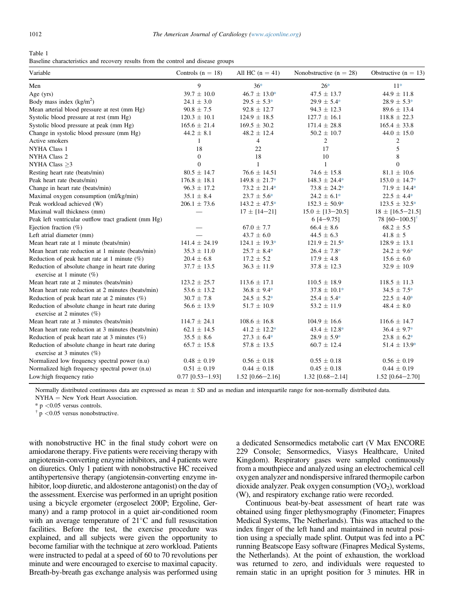<span id="page-1-0"></span>

| Table 1                                                                           |  |  |  |  |
|-----------------------------------------------------------------------------------|--|--|--|--|
| Baseline characteristics and recovery results from the control and disease groups |  |  |  |  |

| Variable                                                                          | Controls $(n = 18)$ | All HC $(n = 41)$  | Nonobstructive $(n = 28)$ | Obstructive $(n = 13)$       |
|-----------------------------------------------------------------------------------|---------------------|--------------------|---------------------------|------------------------------|
| Men                                                                               | 9                   | $36*$              | $26*$                     | $11*$                        |
| Age $(yrs)$                                                                       | $39.7 \pm 10.0$     | $46.7 \pm 13.0*$   | $47.5 \pm 13.7$           | $44.9 \pm 11.8$              |
| Body mass index $(kg/m2)$                                                         | $24.1 \pm 3.0$      | $29.5 \pm 5.3*$    | $29.9 \pm 5.4*$           | $28.9 \pm 5.3*$              |
| Mean arterial blood pressure at rest (mm Hg)                                      | $90.8 \pm 7.5$      | $92.8 \pm 12.7$    | $94.3 \pm 12.3$           | $89.6 \pm 13.4$              |
| Systolic blood pressure at rest (mm Hg)                                           | $120.3 \pm 10.1$    | $124.9 \pm 18.5$   | $127.7 \pm 16.1$          | $118.8 \pm 22.3$             |
| Systolic blood pressure at peak (mm Hg)                                           | $165.6 \pm 21.4$    | $169.5 \pm 30.2$   | $171.4 \pm 28.8$          | $165.4 \pm 33.8$             |
| Change in systolic blood pressure (mm Hg)                                         | $44.2 \pm 8.1$      | $48.2 \pm 12.4$    | $50.2 \pm 10.7$           | $44.0 \pm 15.0$              |
| Active smokers                                                                    | 1                   | 4                  | 2                         | 2                            |
| <b>NYHA Class 1</b>                                                               | 18                  | 22                 | 17                        | 5                            |
| <b>NYHA Class 2</b>                                                               | $\mathbf{0}$        | 18                 | 10                        | 8                            |
| NYHA Class $>3$                                                                   | $\overline{0}$      | $\mathbf{1}$       | $\mathbf{1}$              | $\Omega$                     |
| Resting heart rate (beats/min)                                                    | $80.5 \pm 14.7$     | $76.6 \pm 14.51$   | $74.6 \pm 15.8$           | $81.1 \pm 10.6$              |
| Peak heart rate (beats/min)                                                       | $176.8 \pm 18.1$    | $149.8 \pm 21.7*$  | $148.3 \pm 24.4*$         | $153.0 \pm 14.7*$            |
| Change in heart rate (beats/min)                                                  | $96.3 \pm 17.2$     | $73.2 \pm 21.4*$   | $73.8 \pm 24.2*$          | $71.9 \pm 14.4*$             |
| Maximal oxygen consumption (ml/kg/min)                                            | $35.1 \pm 8.4$      | $23.7 \pm 5.6^*$   | $24.2 \pm 6.1*$           | $22.5 \pm 4.4*$              |
| Peak workload achieved (W)                                                        | $206.1 \pm 73.6$    | $143.2 \pm 47.5^*$ | $152.3 \pm 50.9*$         | $123.5 \pm 32.5^*$           |
| Maximal wall thickness (mm)                                                       |                     | $17 \pm 14 - 21$   | $15.0 \pm [13 - 20.5]$    | $18 \pm [16.5 - 21.5]$       |
| Peak left ventricular outflow tract gradient (mm Hg)                              |                     |                    | $6[4-9.75]$               | 78 $[60-100.5]$ <sup>†</sup> |
| Ejection fraction $(\%)$                                                          |                     | $67.0 \pm 7.7$     | $66.4 \pm 8.6$            | $68.2 \pm 5.5$               |
| Left atrial diameter (mm)                                                         |                     | $43.7 \pm 6.0$     | $44.5 \pm 6.3$            | $41.8 \pm 5$                 |
| Mean heart rate at 1 minute (beats/min)                                           | $141.4 \pm 24.19$   | $124.1 \pm 19.3*$  | $121.9 \pm 21.5^*$        | $128.9 \pm 13.1$             |
| Mean heart rate reduction at 1 minute (beats/min)                                 | $35.3 \pm 11.0$     | $25.7 \pm 8.4*$    | $26.4 \pm 7.8*$           | $24.2 \pm 9.6^*$             |
| Reduction of peak heart rate at 1 minute $(\%)$                                   | $20.4 \pm 6.8$      | $17.2 \pm 5.2$     | $17.9 \pm 4.8$            | $15.6 \pm 6.0$               |
| Reduction of absolute change in heart rate during<br>exercise at 1 minute $(\%)$  | $37.7 \pm 13.5$     | $36.3 \pm 11.9$    | $37.8 \pm 12.3$           | $32.9 \pm 10.9$              |
| Mean heart rate at 2 minutes (beats/min)                                          | $123.2 \pm 25.7$    | $113.6 \pm 17.1$   | $110.5 \pm 18.9$          | $118.5 \pm 11.3$             |
| Mean heart rate reduction at 2 minutes (beats/min)                                | $53.6 \pm 13.2$     | $36.8 \pm 9.4*$    | $37.8 \pm 10.1*$          | $34.5 \pm 7.5^*$             |
| Reduction of peak heart rate at 2 minutes (%)                                     | $30.7 \pm 7.8$      | $24.5 \pm 5.2*$    | $25.4 \pm 5.4*$           | $22.5 \pm 4.0*$              |
| Reduction of absolute change in heart rate during<br>exercise at 2 minutes $(\%)$ | $56.6 \pm 13.9$     | $51.7 \pm 10.9$    | $53.2 \pm 11.9$           | $48.4 \pm 8.0$               |
| Mean heart rate at 3 minutes (beats/min)                                          | $114.7 \pm 24.1$    | $108.6 \pm 16.8$   | $104.9 \pm 16.6$          | $116.6 \pm 14.7$             |
| Mean heart rate reduction at 3 minutes (beats/min)                                | $62.1 \pm 14.5$     | $41.2 \pm 12.2^*$  | $43.4 \pm 12.8^*$         | $36.4 \pm 9.7*$              |
| Reduction of peak heart rate at 3 minutes (%)                                     | $35.5 \pm 8.6$      | $27.3 \pm 6.4*$    | $28.9 \pm 5.9*$           | $23.8 \pm 6.2*$              |
| Reduction of absolute change in heart rate during<br>exercise at 3 minutes (%)    | $65.7 \pm 15.8$     | $57.8 \pm 13.5$    | $60.7 \pm 12.4$           | $51.4 \pm 13.9*$             |
| Normalized low frequency spectral power (n.u)                                     | $0.48 \pm 0.19$     | $0.56 \pm 0.18$    | $0.55 \pm 0.18$           | $0.56 \pm 0.19$              |
| Normalized high frequency spectral power (n.u)                                    | $0.51 \pm 0.19$     | $0.44 \pm 0.18$    | $0.45 \pm 0.18$           | $0.44 \pm 0.19$              |
| Low:high frequency ratio                                                          | $0.77$ [0.53-1.93]  | $1.52$ [0.66-2.16] | $1.32$ [0.68-2.14]        | $1.52$ [0.64-2.70]           |

Normally distributed continuous data are expressed as mean  $\pm$  SD and as median and interquartile range for non-normally distributed data.

NYHA = New York Heart Association.<br>\*  $p < 0.05$  versus controls.

 $\frac{1}{\pi}$  p <0.05 versus nonobstructive.

with nonobstructive HC in the final study cohort were on amiodarone therapy. Five patients were receiving therapy with angiotensin-converting enzyme inhibitors, and 4 patients were on diuretics. Only 1 patient with nonobstructive HC received antihypertensive therapy (angiotensin-converting enzyme inhibitor, loop diuretic, and aldosterone antagonist) on the day of the assessment. Exercise was performed in an upright position using a bicycle ergometer (ergoselect 200P; Ergoline, Germany) and a ramp protocol in a quiet air-conditioned room with an average temperature of  $21^{\circ}$ C and full resuscitation facilities. Before the test, the exercise procedure was explained, and all subjects were given the opportunity to become familiar with the technique at zero workload. Patients were instructed to pedal at a speed of 60 to 70 revolutions per minute and were encouraged to exercise to maximal capacity. Breath-by-breath gas exchange analysis was performed using a dedicated Sensormedics metabolic cart (V Max ENCORE 229 Console; Sensormedics, Viasys Healthcare, United Kingdom). Respiratory gases were sampled continuously from a mouthpiece and analyzed using an electrochemical cell oxygen analyzer and nondispersive infrared thermopile carbon dioxide analyzer. Peak oxygen consumption  $(VO<sub>2</sub>)$ , workload (W), and respiratory exchange ratio were recorded.

Continuous beat-by-beat assessment of heart rate was obtained using finger plethysmography (Finometer; Finapres Medical Systems, The Netherlands). This was attached to the index finger of the left hand and maintained in neutral position using a specially made splint. Output was fed into a PC running Beatscope Easy software (Finapres Medical Systems, the Netherlands). At the point of exhaustion, the workload was returned to zero, and individuals were requested to remain static in an upright position for 3 minutes. HR in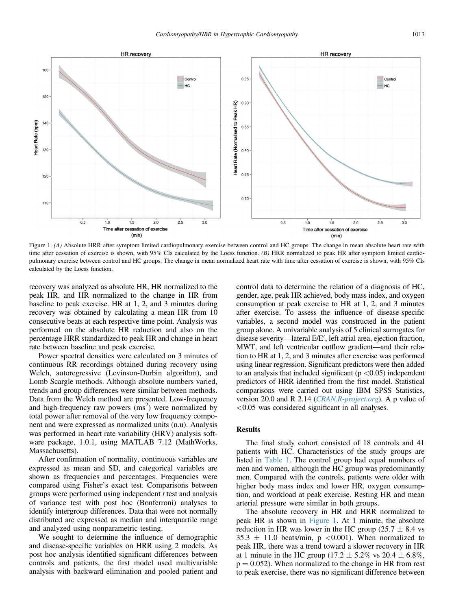

Figure 1. (A) Absolute HRR after symptom limited cardiopulmonary exercise between control and HC groups. The change in mean absolute heart rate with time after cessation of exercise is shown, with 95% CIs calculated by the Loess function. (B) HRR normalized to peak HR after symptom limited cardiopulmonary exercise between control and HC groups. The change in mean normalized heart rate with time after cessation of exercise is shown, with 95% CIs calculated by the Loess function.

recovery was analyzed as absolute HR, HR normalized to the peak HR, and HR normalized to the change in HR from baseline to peak exercise. HR at 1, 2, and 3 minutes during recovery was obtained by calculating a mean HR from 10 consecutive beats at each respective time point. Analysis was performed on the absolute HR reduction and also on the percentage HRR standardized to peak HR and change in heart rate between baseline and peak exercise.

Power spectral densities were calculated on 3 minutes of continuous RR recordings obtained during recovery using Welch, autoregressive (Levinson-Durbin algorithm), and Lomb Scargle methods. Although absolute numbers varied, trends and group differences were similar between methods. Data from the Welch method are presented. Low-frequency and high-frequency raw powers  $\cos^2$  were normalized by total power after removal of the very low frequency component and were expressed as normalized units (n.u). Analysis was performed in heart rate variability (HRV) analysis software package, 1.0.1, using MATLAB 7.12 (MathWorks, Massachusetts).

After confirmation of normality, continuous variables are expressed as mean and SD, and categorical variables are shown as frequencies and percentages. Frequencies were compared using Fisher's exact test. Comparisons between groups were performed using independent  $t$  test and analysis of variance test with post hoc (Bonferroni) analyses to identify intergroup differences. Data that were not normally distributed are expressed as median and interquartile range and analyzed using nonparametric testing.

We sought to determine the influence of demographic and disease-specific variables on HRR using 2 models. As post hoc analysis identified significant differences between controls and patients, the first model used multivariable analysis with backward elimination and pooled patient and control data to determine the relation of a diagnosis of HC, gender, age, peak HR achieved, body mass index, and oxygen consumption at peak exercise to HR at 1, 2, and 3 minutes after exercise. To assess the influence of disease-specific variables, a second model was constructed in the patient group alone. A univariable analysis of 5 clinical surrogates for disease severity-lateral E/E', left atrial area, ejection fraction, MWT, and left ventricular outflow gradient—and their relation to HR at 1, 2, and 3 minutes after exercise was performed using linear regression. Significant predictors were then added to an analysis that included significant  $(p < 0.05)$  independent predictors of HRR identified from the first model. Statistical comparisons were carried out using IBM SPSS Statistics, version 20.0 and R 2.14 ([CRAN.R-project.org](http://CRAN.R-project.org)). A p value of <0.05 was considered significant in all analyses.

### Results

The final study cohort consisted of 18 controls and 41 patients with HC. Characteristics of the study groups are listed in [Table 1](#page-1-0). The control group had equal numbers of men and women, although the HC group was predominantly men. Compared with the controls, patients were older with higher body mass index and lower HR, oxygen consumption, and workload at peak exercise. Resting HR and mean arterial pressure were similar in both groups.

The absolute recovery in HR and HRR normalized to peak HR is shown in Figure 1. At 1 minute, the absolute reduction in HR was lower in the HC group (25.7  $\pm$  8.4 vs  $35.3 \pm 11.0$  beats/min, p <0.001). When normalized to peak HR, there was a trend toward a slower recovery in HR at 1 minute in the HC group (17.2  $\pm$  5.2% vs 20.4  $\pm$  6.8%,  $p = 0.052$ ). When normalized to the change in HR from rest to peak exercise, there was no significant difference between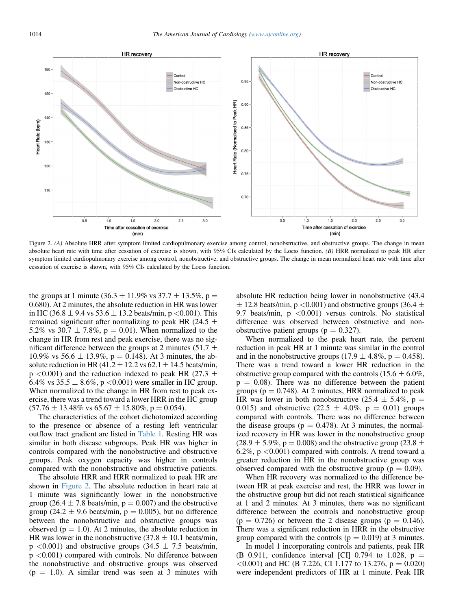

Figure 2. (A) Absolute HRR after symptom limited cardiopulmonary exercise among control, nonobstructive, and obstructive groups. The change in mean absolute heart rate with time after cessation of exercise is shown, with  $95\%$  CIs calculated by the Loess function. (B) HRR normalized to peak HR after symptom limited cardiopulmonary exercise among control, nonobstructive, and obstructive groups. The change in mean normalized heart rate with time after cessation of exercise is shown, with 95% CIs calculated by the Loess function.

the groups at 1 minute (36.3  $\pm$  11.9% vs 37.7  $\pm$  13.5%, p = 0.680). At 2 minutes, the absolute reduction in HR was lower in HC (36.8  $\pm$  9.4 vs 53.6  $\pm$  13.2 beats/min, p <0.001). This remained significant after normalizing to peak HR (24.5  $\pm$ 5.2% vs 30.7  $\pm$  7.8%, p = 0.01). When normalized to the change in HR from rest and peak exercise, there was no significant difference between the groups at 2 minutes (51.7  $\pm$ 10.9% vs 56.6  $\pm$  13.9%, p = 0.148). At 3 minutes, the absolute reduction in HR (41.2  $\pm$  12.2 vs 62.1  $\pm$  14.5 beats/min,  $p \leq 0.001$ ) and the reduction indexed to peak HR (27.3  $\pm$ 6.4% vs 35.5  $\pm$  8.6%, p < 0.001) were smaller in HC group. When normalized to the change in HR from rest to peak exercise, there was a trend toward a lower HRR in the HC group  $(57.76 \pm 13.48\% \text{ vs } 65.67 \pm 15.80\%, \text{ p} = 0.054).$ 

The characteristics of the cohort dichotomized according to the presence or absence of a resting left ventricular outflow tract gradient are listed in [Table 1](#page-1-0). Resting HR was similar in both disease subgroups. Peak HR was higher in controls compared with the nonobstructive and obstructive groups. Peak oxygen capacity was higher in controls compared with the nonobstructive and obstructive patients.

The absolute HRR and HRR normalized to peak HR are shown in Figure 2. The absolute reduction in heart rate at 1 minute was significantly lower in the nonobstructive group (26.4  $\pm$  7.8 beats/min, p = 0.007) and the obstructive group (24.2  $\pm$  9.6 beats/min, p = 0.005), but no difference between the nonobstructive and obstructive groups was observed ( $p = 1.0$ ). At 2 minutes, the absolute reduction in HR was lower in the nonobstructive  $(37.8 \pm 10.1)$  beats/min,  $p \leq 0.001$ ) and obstructive groups (34.5  $\pm$  7.5 beats/min, p <0.001) compared with controls. No difference between the nonobstructive and obstructive groups was observed  $(p = 1.0)$ . A similar trend was seen at 3 minutes with absolute HR reduction being lower in nonobstructive (43.4  $\pm$  12.8 beats/min, p <0.001) and obstructive groups (36.4  $\pm$ 9.7 beats/min,  $p \leq 0.001$  versus controls. No statistical difference was observed between obstructive and nonobstructive patient groups ( $p = 0.327$ ).

When normalized to the peak heart rate, the percent reduction in peak HR at 1 minute was similar in the control and in the nonobstructive groups (17.9  $\pm$  4.8%, p = 0.458). There was a trend toward a lower HR reduction in the obstructive group compared with the controls (15.6  $\pm$  6.0%,  $p = 0.08$ ). There was no difference between the patient groups ( $p = 0.748$ ). At 2 minutes, HRR normalized to peak HR was lower in both nonobstructive (25.4  $\pm$  5.4%, p = 0.015) and obstructive  $(22.5 \pm 4.0\% , p = 0.01)$  groups compared with controls. There was no difference between the disease groups ( $p = 0.478$ ). At 3 minutes, the normalized recovery in HR was lower in the nonobstructive group  $(28.9 \pm 5.9\%, p = 0.008)$  and the obstructive group (23.8  $\pm$ 6.2%,  $p \leq 0.001$ ) compared with controls. A trend toward a greater reduction in HR in the nonobstructive group was observed compared with the obstructive group ( $p = 0.09$ ).

When HR recovery was normalized to the difference between HR at peak exercise and rest, the HRR was lower in the obstructive group but did not reach statistical significance at 1 and 2 minutes. At 3 minutes, there was no significant difference between the controls and nonobstructive group  $(p = 0.726)$  or between the 2 disease groups  $(p = 0.146)$ . There was a significant reduction in HRR in the obstructive group compared with the controls ( $p = 0.019$ ) at 3 minutes.

In model 1 incorporating controls and patients, peak HR (B 0.911, confidence interval [CI] 0.794 to 1.028,  $p =$  $\langle 0.001 \rangle$  and HC (B 7.226, CI 1.177 to 13.276, p = 0.020) were independent predictors of HR at 1 minute. Peak HR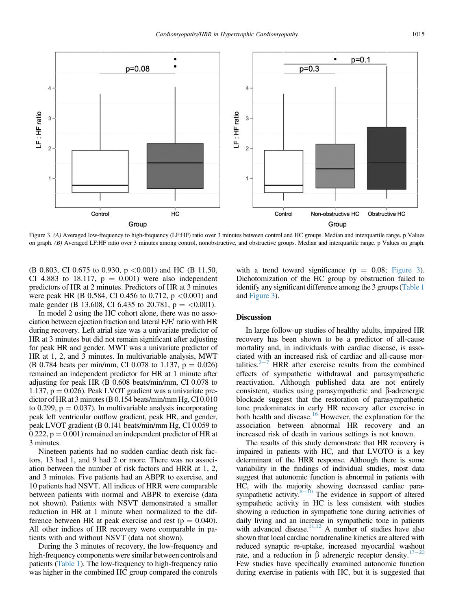

Figure 3. (A) Averaged low-frequency to high-frequency (LF:HF) ratio over 3 minutes between control and HC groups. Median and interquartile range. p Values on graph. (B) Averaged LF:HF ratio over 3 minutes among control, nonobstructive, and obstructive groups. Median and interquartile range. p Values on graph.

(B 0.803, CI 0.675 to 0.930,  $p \le 0.001$ ) and HC (B 11.50, CI 4.883 to 18.117,  $p = 0.001$ ) were also independent predictors of HR at 2 minutes. Predictors of HR at 3 minutes were peak HR (B 0.584, CI 0.456 to 0.712,  $p \lt 0.001$ ) and male gender (B 13.608, CI 6.435 to 20.781,  $p = <0.001$ ).

In model 2 using the HC cohort alone, there was no association between ejection fraction and lateral E/E' ratio with HR during recovery. Left atrial size was a univariate predictor of HR at 3 minutes but did not remain significant after adjusting for peak HR and gender. MWT was a univariate predictor of HR at 1, 2, and 3 minutes. In multivariable analysis, MWT (B 0.784 beats per min/mm, CI 0.078 to 1.137,  $p = 0.026$ ) remained an independent predictor for HR at 1 minute after adjusting for peak HR (B 0.608 beats/min/mm, CI 0.078 to 1.137,  $p = 0.026$ ). Peak LVOT gradient was a univariate predictor of HR at 3 minutes (B 0.154 beats/min/mm Hg, CI 0.010 to 0.299,  $p = 0.037$ ). In multivariable analysis incorporating peak left ventricular outflow gradient, peak HR, and gender, peak LVOT gradient (B 0.141 beats/min/mm Hg, CI 0.059 to  $0.222$ ,  $p = 0.001$ ) remained an independent predictor of HR at 3 minutes.

Nineteen patients had no sudden cardiac death risk factors, 13 had 1, and 9 had 2 or more. There was no association between the number of risk factors and HRR at 1, 2, and 3 minutes. Five patients had an ABPR to exercise, and 10 patients had NSVT. All indices of HRR were comparable between patients with normal and ABPR to exercise (data not shown). Patients with NSVT demonstrated a smaller reduction in HR at 1 minute when normalized to the difference between HR at peak exercise and rest ( $p = 0.040$ ). All other indices of HR recovery were comparable in patients with and without NSVT (data not shown).

During the 3 minutes of recovery, the low-frequency and high-frequency components were similar between controls and patients ([Table 1\)](#page-1-0). The low-frequency to high-frequency ratio was higher in the combined HC group compared the controls with a trend toward significance ( $p = 0.08$ ; Figure 3). Dichotomization of the HC group by obstruction failed to identify any significant difference among the 3 groups [\(Table 1](#page-1-0) and Figure 3).

## **Discussion**

In large follow-up studies of healthy adults, impaired HR recovery has been shown to be a predictor of all-cause mortality and, in individuals with cardiac disease, is associated with an increased risk of cardiac and all-cause mortalities. $2<sup>2-7</sup>$  $2<sup>2-7</sup>$  $2<sup>2-7</sup>$  $2<sup>2-7</sup>$  HRR after exercise results from the combined effects of sympathetic withdrawal and parasympathetic reactivation. Although published data are not entirely consistent, studies using parasympathetic and  $\beta$ -adrenergic blockade suggest that the restoration of parasympathetic tone predominates in early HR recovery after exercise in both health and disease[.16](#page-5-0) However, the explanation for the association between abnormal HR recovery and an increased risk of death in various settings is not known.

The results of this study demonstrate that HR recovery is impaired in patients with HC, and that LVOTO is a key determinant of the HRR response. Although there is some variability in the findings of individual studies, most data suggest that autonomic function is abnormal in patients with HC, with the majority showing decreased cardiac parasympathetic activity. $8-10$  $8-10$  The evidence in support of altered sympathetic activity in HC is less consistent with studies showing a reduction in sympathetic tone during activities of daily living and an increase in sympathetic tone in patients with advanced disease.<sup>[11,12](#page-5-0)</sup> A number of studies have also shown that local cardiac noradrenaline kinetics are altered with reduced synaptic re-uptake, increased myocardial washout rate, and a reduction in  $\beta$  adrenergic receptor density.<sup>17-[20](#page-5-0)</sup> Few studies have specifically examined autonomic function during exercise in patients with HC, but it is suggested that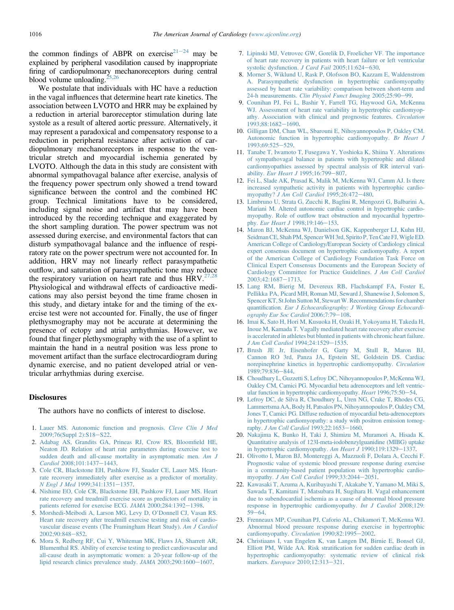<span id="page-5-0"></span>the common findings of ABPR on exercise<sup>21-24</sup> may be explained by peripheral vasodilation caused by inappropriate firing of cardiopulmonary mechanoreceptors during central blood volume unloading.<sup>2</sup>

We postulate that individuals with HC have a reduction in the vagal influences that determine heart rate kinetics. The association between LVOTO and HRR may be explained by a reduction in arterial baroreceptor stimulation during late systole as a result of altered aortic pressure. Alternatively, it may represent a paradoxical and compensatory response to a reduction in peripheral resistance after activation of cardiopulmonary mechanoreceptors in response to the ventricular stretch and myocardial ischemia generated by LVOTO. Although the data in this study are consistent with abnormal sympathovagal balance after exercise, analysis of the frequency power spectrum only showed a trend toward significance between the control and the combined HC group. Technical limitations have to be considered, including signal noise and artifact that may have been introduced by the recording technique and exaggerated by the short sampling duration. The power spectrum was not assessed during exercise, and environmental factors that can disturb sympathovagal balance and the influence of respiratory rate on the power spectrum were not accounted for. In addition, HRV may not linearly reflect parasympathetic outflow, and saturation of parasympathetic tone may reduce the respiratory variation on heart rate and thus  $HRV<sup>27,28</sup>$  $HRV<sup>27,28</sup>$  $HRV<sup>27,28</sup>$ Physiological and withdrawal effects of cardioactive medications may also persist beyond the time frame chosen in this study, and dietary intake for and the timing of the exercise test were not accounted for. Finally, the use of finger plethysmography may not be accurate at determining the presence of ectopy and atrial arrhythmias. However, we found that finger plethysmography with the use of a splint to maintain the hand in a neutral position was less prone to movement artifact than the surface electrocardiogram during dynamic exercise, and no patient developed atrial or ventricular arrhythmias during exercise.

#### **Disclosures**

The authors have no conflicts of interest to disclose.

- 1. [Lauer MS. Autonomic function and prognosis.](http://refhub.elsevier.com/S0002-9149(13)02464-8/sref1) Cleve Clin J Med [2009;76\(Suppl 2\):S18](http://refhub.elsevier.com/S0002-9149(13)02464-8/sref1)-[S22](http://refhub.elsevier.com/S0002-9149(13)02464-8/sref1).
- 2. [Adabag AS, Grandits GA, Prineas RJ, Crow RS, Bloom](http://refhub.elsevier.com/S0002-9149(13)02464-8/sref2)field HE, [Neaton JD. Relation of heart rate parameters during exercise test to](http://refhub.elsevier.com/S0002-9149(13)02464-8/sref2) [sudden death and all-cause mortality in asymptomatic men.](http://refhub.elsevier.com/S0002-9149(13)02464-8/sref2) Am J Cardiol [2008;101:1437](http://refhub.elsevier.com/S0002-9149(13)02464-8/sref2)-[1443](http://refhub.elsevier.com/S0002-9149(13)02464-8/sref2).
- 3. [Cole CR, Blackstone EH, Pashkow FJ, Snader CE, Lauer MS. Heart](http://refhub.elsevier.com/S0002-9149(13)02464-8/sref3)[rate recovery immediately after exercise as a predictor of mortality.](http://refhub.elsevier.com/S0002-9149(13)02464-8/sref3) N Engl J Med 1999:341:1351-[1357](http://refhub.elsevier.com/S0002-9149(13)02464-8/sref3).
- 4. [Nishime EO, Cole CR, Blackstone EH, Pashkow FJ, Lauer MS. Heart](http://refhub.elsevier.com/S0002-9149(13)02464-8/sref4) [rate recovery and treadmill exercise score as predictors of mortality in](http://refhub.elsevier.com/S0002-9149(13)02464-8/sref4) [patients referred for exercise ECG.](http://refhub.elsevier.com/S0002-9149(13)02464-8/sref4) JAMA 2000;284:1392-[1398](http://refhub.elsevier.com/S0002-9149(13)02464-8/sref4).
- 5. [Morshedi-Meibodi A, Larson MG, Levy D, O](http://refhub.elsevier.com/S0002-9149(13)02464-8/sref5)'Donnell CJ, Vasan RS. [Heart rate recovery after treadmill exercise testing and risk of cardio](http://refhub.elsevier.com/S0002-9149(13)02464-8/sref5)[vascular disease events \(The Framingham Heart Study\).](http://refhub.elsevier.com/S0002-9149(13)02464-8/sref5) Am J Cardiol [2002;90:848](http://refhub.elsevier.com/S0002-9149(13)02464-8/sref5)-[852](http://refhub.elsevier.com/S0002-9149(13)02464-8/sref5).
- 6. [Mora S, Redberg RF, Cui Y, Whiteman MK, Flaws JA, Sharrett AR,](http://refhub.elsevier.com/S0002-9149(13)02464-8/sref6) [Blumenthal RS. Ability of exercise testing to predict cardiovascular and](http://refhub.elsevier.com/S0002-9149(13)02464-8/sref6) [all-cause death in asymptomatic women: a 20-year follow-up of the](http://refhub.elsevier.com/S0002-9149(13)02464-8/sref6) [lipid research clinics prevalence study.](http://refhub.elsevier.com/S0002-9149(13)02464-8/sref6) JAMA 2003;290:1600-[1607.](http://refhub.elsevier.com/S0002-9149(13)02464-8/sref6)
- 7. [Lipinski MJ, Vetrovec GW, Gorelik D, Froelicher VF. The importance](http://refhub.elsevier.com/S0002-9149(13)02464-8/sref7) [of heart rate recovery in patients with heart failure or left ventricular](http://refhub.elsevier.com/S0002-9149(13)02464-8/sref7) [systolic dysfunction.](http://refhub.elsevier.com/S0002-9149(13)02464-8/sref7) J Card Fail 2005;11:624-[630.](http://refhub.elsevier.com/S0002-9149(13)02464-8/sref7)
- 8. [Morner S, Wiklund U, Rask P, Olofsson BO, Kazzam E, Waldenstrom](http://refhub.elsevier.com/S0002-9149(13)02464-8/sref8) [A. Parasympathetic dysfunction in hypertrophic cardiomyopathy](http://refhub.elsevier.com/S0002-9149(13)02464-8/sref8) [assessed by heart rate variability: comparison between short-term and](http://refhub.elsevier.com/S0002-9149(13)02464-8/sref8) 24-h measurements. [Clin Physiol Funct Imaging](http://refhub.elsevier.com/S0002-9149(13)02464-8/sref8) 2005;25:90-[99](http://refhub.elsevier.com/S0002-9149(13)02464-8/sref8).
- 9. [Counihan PJ, Fei L, Bashir Y, Farrell TG, Haywood GA, McKenna](http://refhub.elsevier.com/S0002-9149(13)02464-8/sref9) [WJ. Assessment of heart rate variability in hypertrophic cardiomyop](http://refhub.elsevier.com/S0002-9149(13)02464-8/sref9)[athy. Association with clinical and prognostic features.](http://refhub.elsevier.com/S0002-9149(13)02464-8/sref9) Circulation [1993;88:1682](http://refhub.elsevier.com/S0002-9149(13)02464-8/sref9)-[1690](http://refhub.elsevier.com/S0002-9149(13)02464-8/sref9).
- 10. [Gilligan DM, Chan WL, Sbarouni E, Nihoyannopoulos P, Oakley CM.](http://refhub.elsevier.com/S0002-9149(13)02464-8/sref10) [Autonomic function in hypertrophic cardiomyopathy.](http://refhub.elsevier.com/S0002-9149(13)02464-8/sref10) Br Heart J 1993:69:525-[529.](http://refhub.elsevier.com/S0002-9149(13)02464-8/sref10)
- 11. [Tanabe T, Iwamoto T, Fusegawa Y, Yoshioka K, Shiina Y. Alterations](http://refhub.elsevier.com/S0002-9149(13)02464-8/sref11) [of sympathovagal balance in patients with hypertrophic and dilated](http://refhub.elsevier.com/S0002-9149(13)02464-8/sref11) [cardiomyopathies assessed by spectral analysis of RR interval vari-](http://refhub.elsevier.com/S0002-9149(13)02464-8/sref11)ability. Eur Heart J [1995;16:799](http://refhub.elsevier.com/S0002-9149(13)02464-8/sref11)-[807](http://refhub.elsevier.com/S0002-9149(13)02464-8/sref11).
- 12. [Fei L, Slade AK, Prasad K, Malik M, McKenna WJ, Camm AJ. Is there](http://refhub.elsevier.com/S0002-9149(13)02464-8/sref12) [increased sympathetic activity in patients with hypertrophic cardio-](http://refhub.elsevier.com/S0002-9149(13)02464-8/sref12)myopathy? [J Am Coll Cardiol](http://refhub.elsevier.com/S0002-9149(13)02464-8/sref12) 1995;26:472-[480](http://refhub.elsevier.com/S0002-9149(13)02464-8/sref12).
- 13. [Limbruno U, Strata G, Zucchi R, Baglini R, Mengozzi G, Balbarini A,](http://refhub.elsevier.com/S0002-9149(13)02464-8/sref13) [Mariani M. Altered autonomic cardiac control in hypertrophic cardio](http://refhub.elsevier.com/S0002-9149(13)02464-8/sref13)myopathy. Role of outfl[ow tract obstruction and myocardial hypertro-](http://refhub.elsevier.com/S0002-9149(13)02464-8/sref13)phy. Eur Heart J [1998;19:146](http://refhub.elsevier.com/S0002-9149(13)02464-8/sref13)-[153.](http://refhub.elsevier.com/S0002-9149(13)02464-8/sref13)
- 14. [Maron BJ, McKenna WJ, Danielson GK, Kappenberger LJ, Kuhn HJ,](http://refhub.elsevier.com/S0002-9149(13)02464-8/sref14) [SeidmanCE, Shah PM, SpencerWH 3rd, Spirito P, TenCate FJ,Wigle ED.](http://refhub.elsevier.com/S0002-9149(13)02464-8/sref14) [American College of Cardiology/European Society of Cardiology clinical](http://refhub.elsevier.com/S0002-9149(13)02464-8/sref14) [expert consensus document on hypertrophic cardiomyopathy. A report](http://refhub.elsevier.com/S0002-9149(13)02464-8/sref14) [of the American College of Cardiology Foundation Task Force on](http://refhub.elsevier.com/S0002-9149(13)02464-8/sref14) [Clinical Expert Consensus Documents and the European Society of](http://refhub.elsevier.com/S0002-9149(13)02464-8/sref14) [Cardiology Committee for Practice Guidelines.](http://refhub.elsevier.com/S0002-9149(13)02464-8/sref14) J Am Coll Cardiol [2003;42:1687](http://refhub.elsevier.com/S0002-9149(13)02464-8/sref14)e[1713](http://refhub.elsevier.com/S0002-9149(13)02464-8/sref14).
- 15. [Lang RM, Bierig M, Devereux RB, Flachskampf FA, Foster E,](http://refhub.elsevier.com/S0002-9149(13)02464-8/sref15) [Pellikka PA, Picard MH, Roman MJ, Seward J, Shanewise J, Solomon S,](http://refhub.elsevier.com/S0002-9149(13)02464-8/sref15) Spencer KT, St John Sutton M, Stewart W. Recommendations for chamber quantification. [Eur J Echocardiography: J Working Group Echocardi](http://refhub.elsevier.com/S0002-9149(13)02464-8/sref15)[ography Eur Soc Cardiol](http://refhub.elsevier.com/S0002-9149(13)02464-8/sref15) 2006;7:79-[108.](http://refhub.elsevier.com/S0002-9149(13)02464-8/sref15)
- 16. [Imai K, Sato H, Hori M, Kusuoka H, Ozaki H, Yokoyama H, Takeda H,](http://refhub.elsevier.com/S0002-9149(13)02464-8/sref16) [Inoue M, Kamada T. Vagally mediated heart rate recovery after exercise](http://refhub.elsevier.com/S0002-9149(13)02464-8/sref16) [is accelerated in athletes but blunted in patients with chronic heart failure.](http://refhub.elsevier.com/S0002-9149(13)02464-8/sref16) [J Am Coll Cardiol](http://refhub.elsevier.com/S0002-9149(13)02464-8/sref16) 1994;24:1529-[1535.](http://refhub.elsevier.com/S0002-9149(13)02464-8/sref16)
- 17. [Brush JE Jr, Eisenhofer G, Garty M, Stull R, Maron BJ,](http://refhub.elsevier.com/S0002-9149(13)02464-8/sref17) [Cannon RO 3rd, Panza JA, Epstein SE, Goldstein DS. Cardiac](http://refhub.elsevier.com/S0002-9149(13)02464-8/sref17) [norepinephrine kinetics in hypertrophic cardiomyopathy.](http://refhub.elsevier.com/S0002-9149(13)02464-8/sref17) Circulation [1989;79:836](http://refhub.elsevier.com/S0002-9149(13)02464-8/sref17)-[844.](http://refhub.elsevier.com/S0002-9149(13)02464-8/sref17)
- 18. [Choudhury L, Guzzetti S, Lefroy DC, Nihoyannopoulos P, McKenna WJ,](http://refhub.elsevier.com/S0002-9149(13)02464-8/sref18) [Oakley CM, Camici PG. Myocardial beta adrenoceptors and left ventric](http://refhub.elsevier.com/S0002-9149(13)02464-8/sref18)[ular function in hypertrophic cardiomyopathy.](http://refhub.elsevier.com/S0002-9149(13)02464-8/sref18) Heart 1996;75:50-[54.](http://refhub.elsevier.com/S0002-9149(13)02464-8/sref18)
- 19. [Lefroy DC, de Silva R, Choudhury L, Uren NG, Crake T, Rhodes CG,](http://refhub.elsevier.com/S0002-9149(13)02464-8/sref19) [Lammertsma AA, Body H, Patsalos PN, Nihoyannopoulos P, Oakley CM,](http://refhub.elsevier.com/S0002-9149(13)02464-8/sref19) [Jones T, Camici PG. Diffuse reduction of myocardial beta-adrenoceptors](http://refhub.elsevier.com/S0002-9149(13)02464-8/sref19) [in hypertrophic cardiomyopathy: a study with positron emission tomog-](http://refhub.elsevier.com/S0002-9149(13)02464-8/sref19)raphy. [J Am Coll Cardiol](http://refhub.elsevier.com/S0002-9149(13)02464-8/sref19)  $1993;22:1653-1660$  $1993;22:1653-1660$ .
- 20. [Nakajima K, Bunko H, Taki J, Shimizu M, Muramori A, Hisada K.](http://refhub.elsevier.com/S0002-9149(13)02464-8/sref20) [Quantitative analysis of 123I-meta-iodobenzylguanidine \(MIBG\) uptake](http://refhub.elsevier.com/S0002-9149(13)02464-8/sref20) [in hypertrophic cardiomyopathy.](http://refhub.elsevier.com/S0002-9149(13)02464-8/sref20) Am Heart J 1990;119:1329-[1337](http://refhub.elsevier.com/S0002-9149(13)02464-8/sref20).
- 21. [Olivotto I, Maron BJ, Montereggi A, Mazzuoli F, Dolara A, Cecchi F.](http://refhub.elsevier.com/S0002-9149(13)02464-8/sref21) [Prognostic value of systemic blood pressure response during exercise](http://refhub.elsevier.com/S0002-9149(13)02464-8/sref21) [in a community-based patient population with hypertrophic cardio-](http://refhub.elsevier.com/S0002-9149(13)02464-8/sref21)myopathy. [J Am Coll Cardiol](http://refhub.elsevier.com/S0002-9149(13)02464-8/sref21)  $1999;33:2044-2051$ .
- 22. [Kawasaki T, Azuma A, Kuribayashi T, Akakabe Y, Yamano M, Miki S,](http://refhub.elsevier.com/S0002-9149(13)02464-8/sref22) [Sawada T, Kamitani T, Matsubara H, Sugihara H. Vagal enhancement](http://refhub.elsevier.com/S0002-9149(13)02464-8/sref22) [due to subendocardial ischemia as a cause of abnormal blood pressure](http://refhub.elsevier.com/S0002-9149(13)02464-8/sref22) [response in hypertrophic cardiomyopathy.](http://refhub.elsevier.com/S0002-9149(13)02464-8/sref22) Int J Cardiol 2008;129:  $59 - 64.$  $59 - 64.$  $59 - 64.$
- 23. [Frenneaux MP, Counihan PJ, Caforio AL, Chikamori T, McKenna WJ.](http://refhub.elsevier.com/S0002-9149(13)02464-8/sref23) [Abnormal blood pressure response during exercise in hypertrophic](http://refhub.elsevier.com/S0002-9149(13)02464-8/sref23) [cardiomyopathy.](http://refhub.elsevier.com/S0002-9149(13)02464-8/sref23) Circulation 1990;82:1995-[2002.](http://refhub.elsevier.com/S0002-9149(13)02464-8/sref23)
- 24. [Christiaans I, van Engelen K, van Langen IM, Birnie E, Bonsel GJ,](http://refhub.elsevier.com/S0002-9149(13)02464-8/sref24) Elliott PM, Wilde AA. Risk stratifi[cation for sudden cardiac death in](http://refhub.elsevier.com/S0002-9149(13)02464-8/sref24) [hypertrophic cardiomyopathy: systematic review of clinical risk](http://refhub.elsevier.com/S0002-9149(13)02464-8/sref24) markers. Europace [2010;12:313](http://refhub.elsevier.com/S0002-9149(13)02464-8/sref24)-[321](http://refhub.elsevier.com/S0002-9149(13)02464-8/sref24).